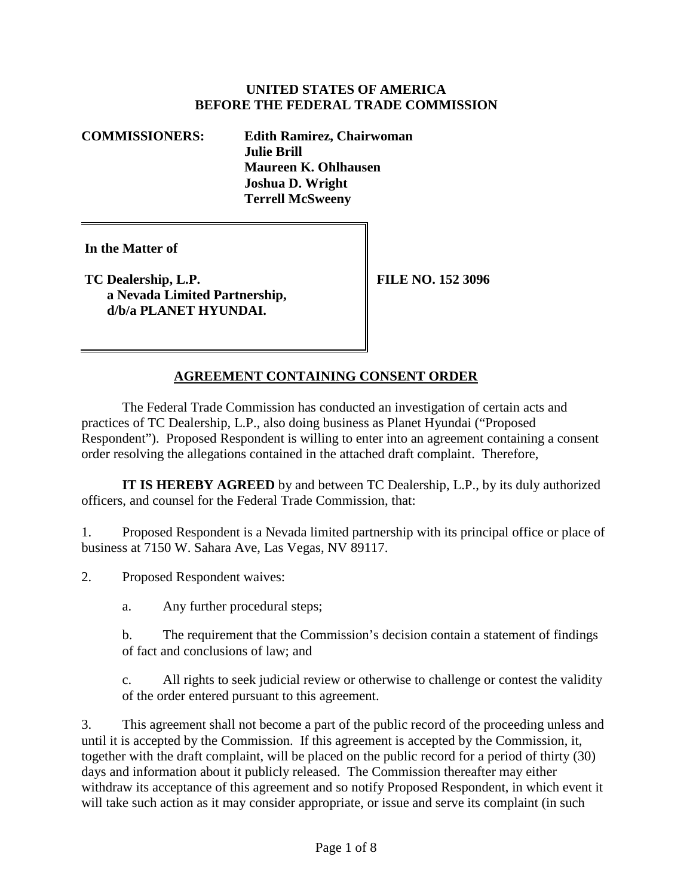## **UNITED STATES OF AMERICA BEFORE THE FEDERAL TRADE COMMISSION**

**COMMISSIONERS: Edith Ramirez, Chairwoman Julie Brill Maureen K. Ohlhausen Joshua D. Wright Terrell McSweeny**

**In the Matter of**

**TC Dealership, L.P. a Nevada Limited Partnership, d/b/a PLANET HYUNDAI.**

**FILE NO. 152 3096**

# **AGREEMENT CONTAINING CONSENT ORDER**

The Federal Trade Commission has conducted an investigation of certain acts and practices of TC Dealership, L.P., also doing business as Planet Hyundai ("Proposed Respondent"). Proposed Respondent is willing to enter into an agreement containing a consent order resolving the allegations contained in the attached draft complaint. Therefore,

**IT IS HEREBY AGREED** by and between TC Dealership, L.P., by its duly authorized officers, and counsel for the Federal Trade Commission, that:

1. Proposed Respondent is a Nevada limited partnership with its principal office or place of business at 7150 W. Sahara Ave, Las Vegas, NV 89117.

2. Proposed Respondent waives:

a. Any further procedural steps;

b. The requirement that the Commission's decision contain a statement of findings of fact and conclusions of law; and

c. All rights to seek judicial review or otherwise to challenge or contest the validity of the order entered pursuant to this agreement.

3. This agreement shall not become a part of the public record of the proceeding unless and until it is accepted by the Commission. If this agreement is accepted by the Commission, it, together with the draft complaint, will be placed on the public record for a period of thirty (30) days and information about it publicly released. The Commission thereafter may either withdraw its acceptance of this agreement and so notify Proposed Respondent, in which event it will take such action as it may consider appropriate, or issue and serve its complaint (in such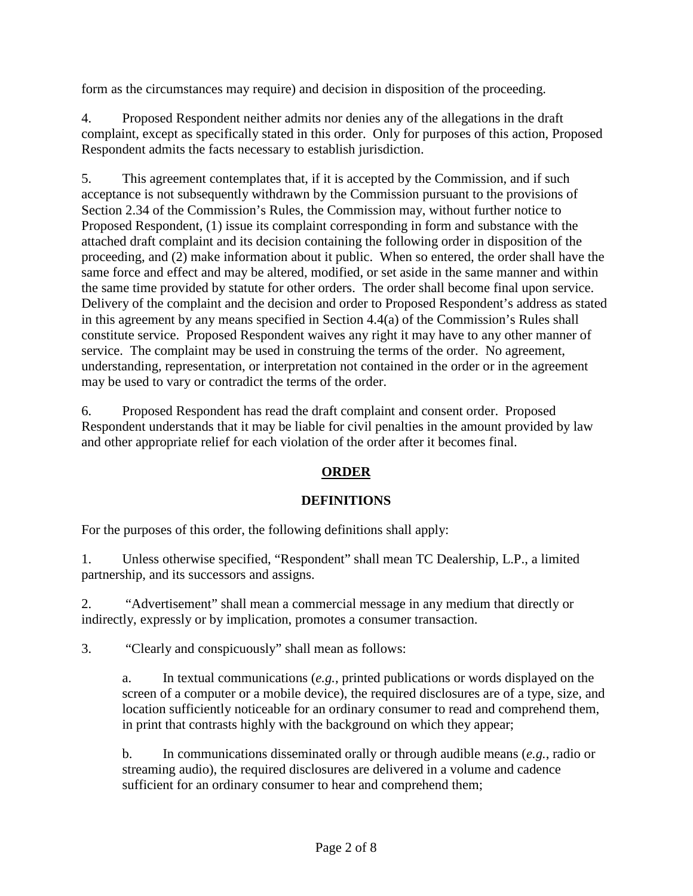form as the circumstances may require) and decision in disposition of the proceeding.

4. Proposed Respondent neither admits nor denies any of the allegations in the draft complaint, except as specifically stated in this order. Only for purposes of this action, Proposed Respondent admits the facts necessary to establish jurisdiction.

5. This agreement contemplates that, if it is accepted by the Commission, and if such acceptance is not subsequently withdrawn by the Commission pursuant to the provisions of Section 2.34 of the Commission's Rules, the Commission may, without further notice to Proposed Respondent, (1) issue its complaint corresponding in form and substance with the attached draft complaint and its decision containing the following order in disposition of the proceeding, and (2) make information about it public. When so entered, the order shall have the same force and effect and may be altered, modified, or set aside in the same manner and within the same time provided by statute for other orders. The order shall become final upon service. Delivery of the complaint and the decision and order to Proposed Respondent's address as stated in this agreement by any means specified in Section 4.4(a) of the Commission's Rules shall constitute service. Proposed Respondent waives any right it may have to any other manner of service. The complaint may be used in construing the terms of the order. No agreement, understanding, representation, or interpretation not contained in the order or in the agreement may be used to vary or contradict the terms of the order.

6. Proposed Respondent has read the draft complaint and consent order. Proposed Respondent understands that it may be liable for civil penalties in the amount provided by law and other appropriate relief for each violation of the order after it becomes final.

# **ORDER**

# **DEFINITIONS**

For the purposes of this order, the following definitions shall apply:

1. Unless otherwise specified, "Respondent" shall mean TC Dealership, L.P., a limited partnership, and its successors and assigns.

2. "Advertisement" shall mean a commercial message in any medium that directly or indirectly, expressly or by implication, promotes a consumer transaction.

3. "Clearly and conspicuously" shall mean as follows:

a. In textual communications (*e.g.*, printed publications or words displayed on the screen of a computer or a mobile device), the required disclosures are of a type, size, and location sufficiently noticeable for an ordinary consumer to read and comprehend them, in print that contrasts highly with the background on which they appear;

b. In communications disseminated orally or through audible means (*e.g.*, radio or streaming audio), the required disclosures are delivered in a volume and cadence sufficient for an ordinary consumer to hear and comprehend them;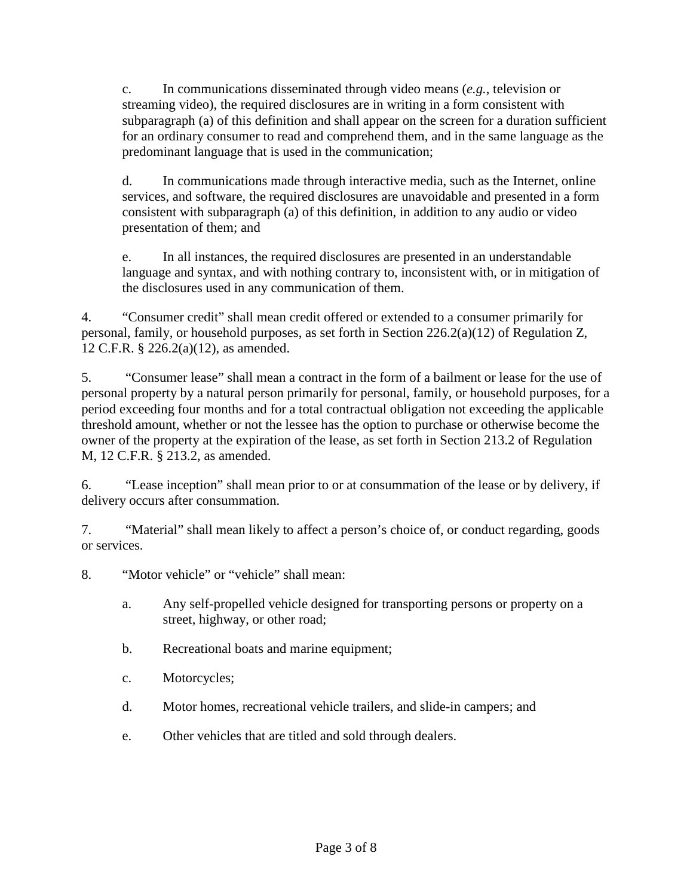c. In communications disseminated through video means (*e.g.*, television or streaming video), the required disclosures are in writing in a form consistent with subparagraph (a) of this definition and shall appear on the screen for a duration sufficient for an ordinary consumer to read and comprehend them, and in the same language as the predominant language that is used in the communication;

d. In communications made through interactive media, such as the Internet, online services, and software, the required disclosures are unavoidable and presented in a form consistent with subparagraph (a) of this definition, in addition to any audio or video presentation of them; and

e. In all instances, the required disclosures are presented in an understandable language and syntax, and with nothing contrary to, inconsistent with, or in mitigation of the disclosures used in any communication of them.

4. "Consumer credit" shall mean credit offered or extended to a consumer primarily for personal, family, or household purposes, as set forth in Section 226.2(a)(12) of Regulation Z, 12 C.F.R. § 226.2(a)(12), as amended.

5. "Consumer lease" shall mean a contract in the form of a bailment or lease for the use of personal property by a natural person primarily for personal, family, or household purposes, for a period exceeding four months and for a total contractual obligation not exceeding the applicable threshold amount, whether or not the lessee has the option to purchase or otherwise become the owner of the property at the expiration of the lease, as set forth in Section 213.2 of Regulation M, 12 C.F.R. § 213.2, as amended.

6. "Lease inception" shall mean prior to or at consummation of the lease or by delivery, if delivery occurs after consummation.

7. "Material" shall mean likely to affect a person's choice of, or conduct regarding, goods or services.

8. "Motor vehicle" or "vehicle" shall mean:

- a. Any self-propelled vehicle designed for transporting persons or property on a street, highway, or other road;
- b. Recreational boats and marine equipment;
- c. Motorcycles;
- d. Motor homes, recreational vehicle trailers, and slide-in campers; and
- e. Other vehicles that are titled and sold through dealers.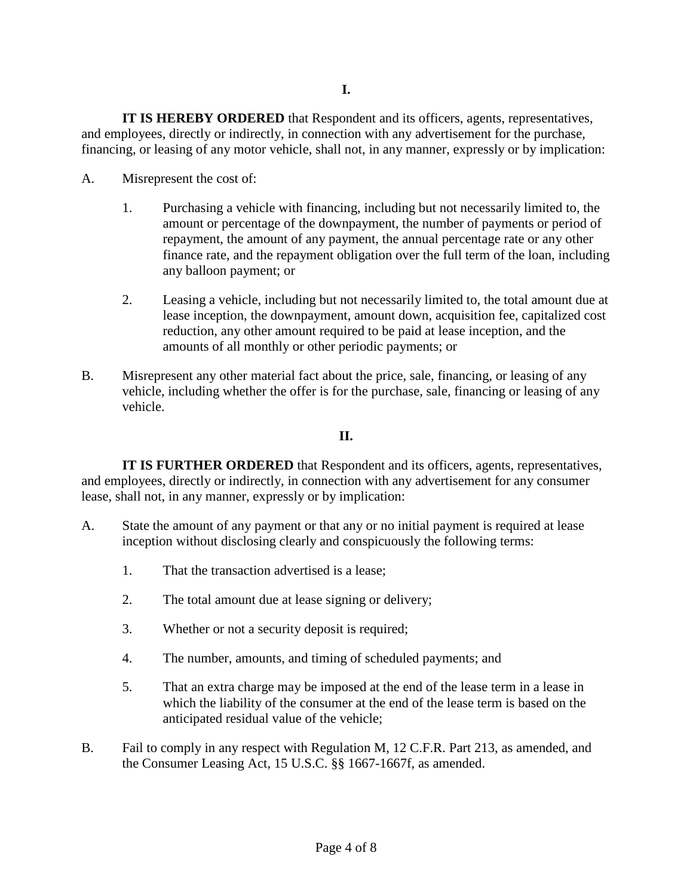**IT IS HEREBY ORDERED** that Respondent and its officers, agents, representatives, and employees, directly or indirectly, in connection with any advertisement for the purchase, financing, or leasing of any motor vehicle, shall not, in any manner, expressly or by implication:

- A. Misrepresent the cost of:
	- 1. Purchasing a vehicle with financing, including but not necessarily limited to, the amount or percentage of the downpayment, the number of payments or period of repayment, the amount of any payment, the annual percentage rate or any other finance rate, and the repayment obligation over the full term of the loan, including any balloon payment; or
	- 2. Leasing a vehicle, including but not necessarily limited to, the total amount due at lease inception, the downpayment, amount down, acquisition fee, capitalized cost reduction, any other amount required to be paid at lease inception, and the amounts of all monthly or other periodic payments; or
- B. Misrepresent any other material fact about the price, sale, financing, or leasing of any vehicle, including whether the offer is for the purchase, sale, financing or leasing of any vehicle.

## **II.**

**IT IS FURTHER ORDERED** that Respondent and its officers, agents, representatives, and employees, directly or indirectly, in connection with any advertisement for any consumer lease, shall not, in any manner, expressly or by implication:

- A. State the amount of any payment or that any or no initial payment is required at lease inception without disclosing clearly and conspicuously the following terms:
	- 1. That the transaction advertised is a lease;
	- 2. The total amount due at lease signing or delivery;
	- 3. Whether or not a security deposit is required;
	- 4. The number, amounts, and timing of scheduled payments; and
	- 5. That an extra charge may be imposed at the end of the lease term in a lease in which the liability of the consumer at the end of the lease term is based on the anticipated residual value of the vehicle;
- B. Fail to comply in any respect with Regulation M, 12 C.F.R. Part 213, as amended, and the Consumer Leasing Act, 15 U.S.C. §§ 1667-1667f, as amended.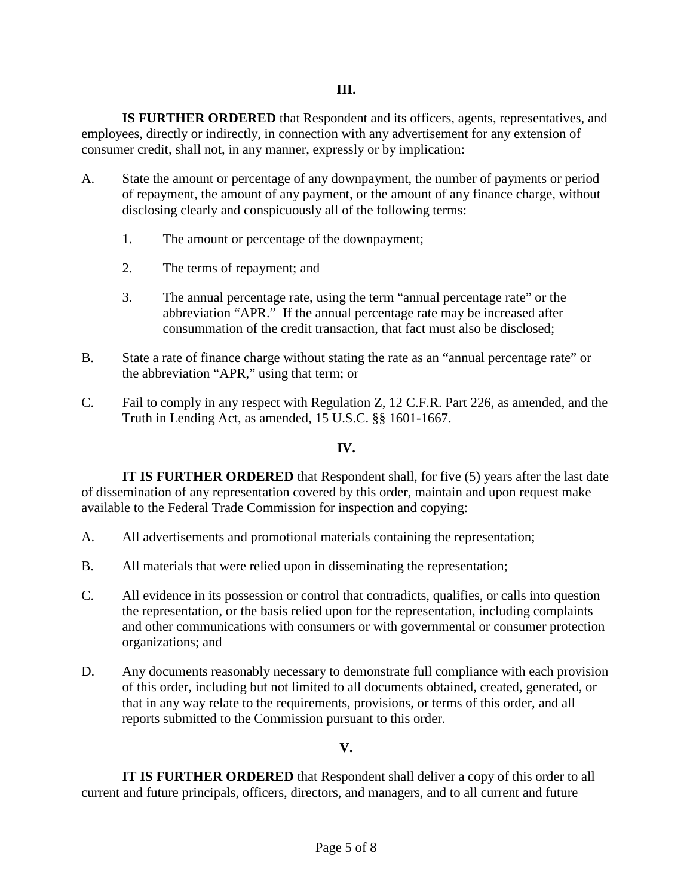**IS FURTHER ORDERED** that Respondent and its officers, agents, representatives, and employees, directly or indirectly, in connection with any advertisement for any extension of consumer credit, shall not, in any manner, expressly or by implication:

- A. State the amount or percentage of any downpayment, the number of payments or period of repayment, the amount of any payment, or the amount of any finance charge, without disclosing clearly and conspicuously all of the following terms:
	- 1. The amount or percentage of the downpayment;
	- 2. The terms of repayment; and
	- 3. The annual percentage rate, using the term "annual percentage rate" or the abbreviation "APR." If the annual percentage rate may be increased after consummation of the credit transaction, that fact must also be disclosed;
- B. State a rate of finance charge without stating the rate as an "annual percentage rate" or the abbreviation "APR," using that term; or
- C. Fail to comply in any respect with Regulation Z, 12 C.F.R. Part 226, as amended, and the Truth in Lending Act, as amended, 15 U.S.C. §§ 1601-1667.

## **IV.**

**IT IS FURTHER ORDERED** that Respondent shall, for five (5) years after the last date of dissemination of any representation covered by this order, maintain and upon request make available to the Federal Trade Commission for inspection and copying:

- A. All advertisements and promotional materials containing the representation;
- B. All materials that were relied upon in disseminating the representation;
- C. All evidence in its possession or control that contradicts, qualifies, or calls into question the representation, or the basis relied upon for the representation, including complaints and other communications with consumers or with governmental or consumer protection organizations; and
- D. Any documents reasonably necessary to demonstrate full compliance with each provision of this order, including but not limited to all documents obtained, created, generated, or that in any way relate to the requirements, provisions, or terms of this order, and all reports submitted to the Commission pursuant to this order.

## **V.**

**IT IS FURTHER ORDERED** that Respondent shall deliver a copy of this order to all current and future principals, officers, directors, and managers, and to all current and future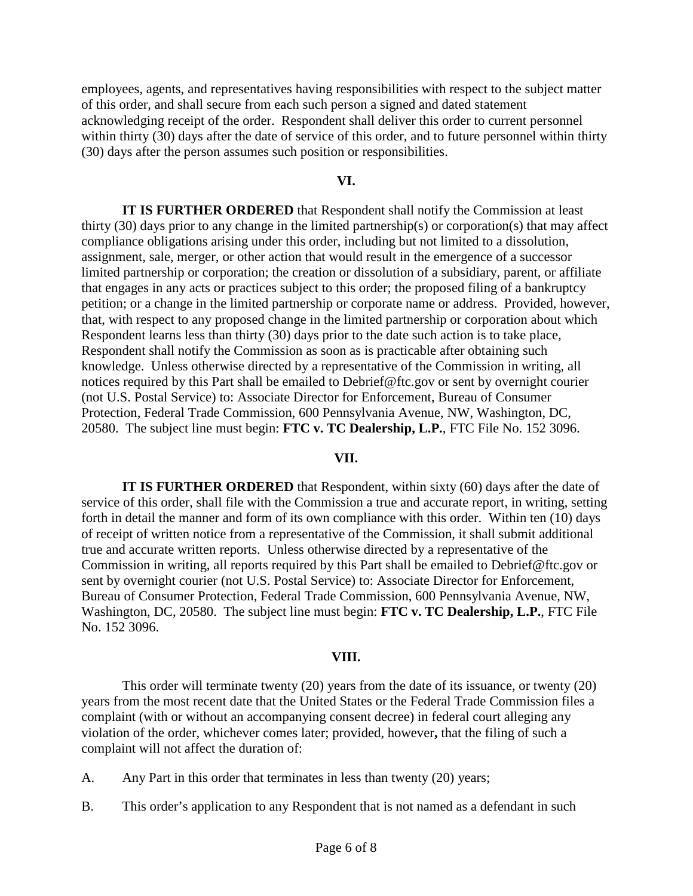employees, agents, and representatives having responsibilities with respect to the subject matter of this order, and shall secure from each such person a signed and dated statement acknowledging receipt of the order. Respondent shall deliver this order to current personnel within thirty (30) days after the date of service of this order, and to future personnel within thirty (30) days after the person assumes such position or responsibilities.

### **VI.**

**IT IS FURTHER ORDERED** that Respondent shall notify the Commission at least thirty (30) days prior to any change in the limited partnership(s) or corporation(s) that may affect compliance obligations arising under this order, including but not limited to a dissolution, assignment, sale, merger, or other action that would result in the emergence of a successor limited partnership or corporation; the creation or dissolution of a subsidiary, parent, or affiliate that engages in any acts or practices subject to this order; the proposed filing of a bankruptcy petition; or a change in the limited partnership or corporate name or address. Provided, however, that, with respect to any proposed change in the limited partnership or corporation about which Respondent learns less than thirty (30) days prior to the date such action is to take place, Respondent shall notify the Commission as soon as is practicable after obtaining such knowledge. Unless otherwise directed by a representative of the Commission in writing, all notices required by this Part shall be emailed to Debrief@ftc.gov or sent by overnight courier (not U.S. Postal Service) to: Associate Director for Enforcement, Bureau of Consumer Protection, Federal Trade Commission, 600 Pennsylvania Avenue, NW, Washington, DC, 20580. The subject line must begin: **FTC v. TC Dealership, L.P.**, FTC File No. 152 3096.

### **VII.**

**IT IS FURTHER ORDERED** that Respondent, within sixty (60) days after the date of service of this order, shall file with the Commission a true and accurate report, in writing, setting forth in detail the manner and form of its own compliance with this order. Within ten (10) days of receipt of written notice from a representative of the Commission, it shall submit additional true and accurate written reports. Unless otherwise directed by a representative of the Commission in writing, all reports required by this Part shall be emailed to Debrief@ftc.gov or sent by overnight courier (not U.S. Postal Service) to: Associate Director for Enforcement, Bureau of Consumer Protection, Federal Trade Commission, 600 Pennsylvania Avenue, NW, Washington, DC, 20580. The subject line must begin: **FTC v. TC Dealership, L.P.**, FTC File No. 152 3096.

#### **VIII.**

This order will terminate twenty (20) years from the date of its issuance, or twenty (20) years from the most recent date that the United States or the Federal Trade Commission files a complaint (with or without an accompanying consent decree) in federal court alleging any violation of the order, whichever comes later; provided, however**,** that the filing of such a complaint will not affect the duration of:

A. Any Part in this order that terminates in less than twenty (20) years;

B. This order's application to any Respondent that is not named as a defendant in such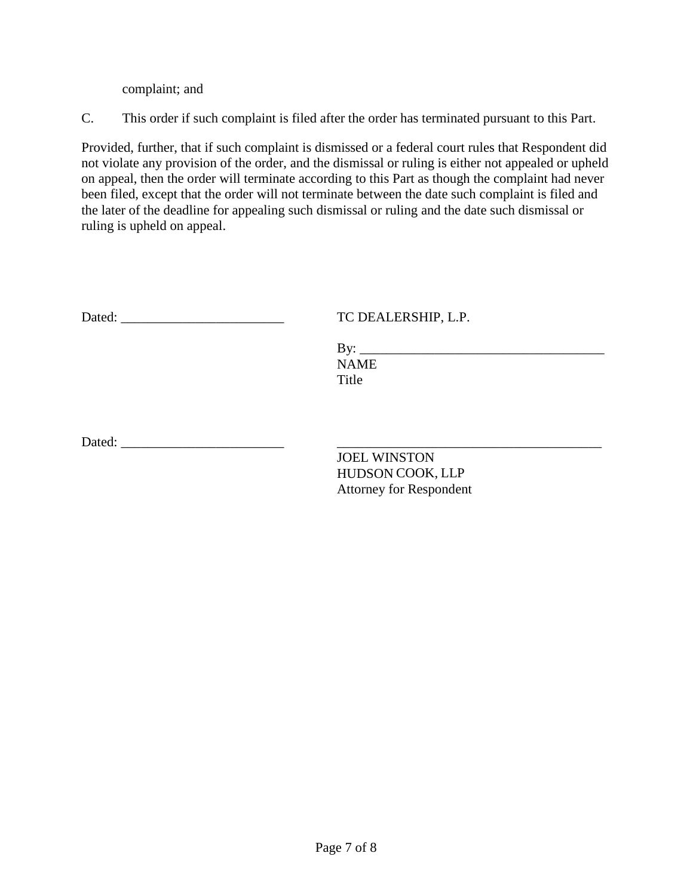complaint; and

C. This order if such complaint is filed after the order has terminated pursuant to this Part.

Provided, further, that if such complaint is dismissed or a federal court rules that Respondent did not violate any provision of the order, and the dismissal or ruling is either not appealed or upheld on appeal, then the order will terminate according to this Part as though the complaint had never been filed, except that the order will not terminate between the date such complaint is filed and the later of the deadline for appealing such dismissal or ruling and the date such dismissal or ruling is upheld on appeal.

| Dated:               | TC DEALERSHIP, L.P.                     |  |
|----------------------|-----------------------------------------|--|
|                      | <b>NAME</b><br>Title                    |  |
| Dated: <u>Dated:</u> | <b>JOEL WINSTON</b><br>HUDSON COOK, LLP |  |
|                      | <b>Attorney for Respondent</b>          |  |